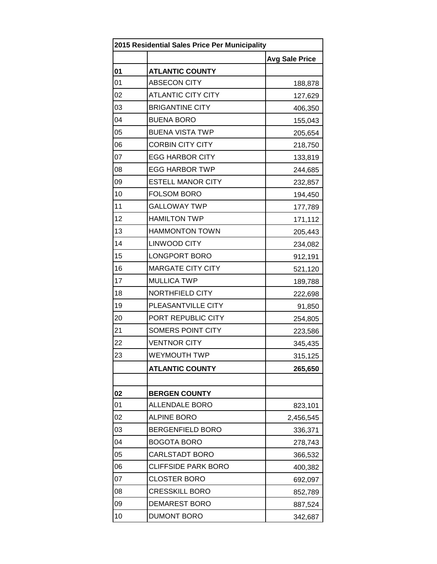|    | 2015 Residential Sales Price Per Municipality |                       |  |
|----|-----------------------------------------------|-----------------------|--|
|    |                                               | <b>Avg Sale Price</b> |  |
| 01 | <b>ATLANTIC COUNTY</b>                        |                       |  |
| 01 | <b>ABSECON CITY</b>                           | 188,878               |  |
| 02 | <b>ATLANTIC CITY CITY</b>                     | 127,629               |  |
| 03 | <b>BRIGANTINE CITY</b>                        | 406,350               |  |
| 04 | <b>BUENA BORO</b>                             | 155,043               |  |
| 05 | <b>BUENA VISTA TWP</b>                        | 205,654               |  |
| 06 | <b>CORBIN CITY CITY</b>                       | 218,750               |  |
| 07 | <b>EGG HARBOR CITY</b>                        | 133,819               |  |
| 08 | <b>EGG HARBOR TWP</b>                         | 244,685               |  |
| 09 | <b>ESTELL MANOR CITY</b>                      | 232,857               |  |
| 10 | <b>FOLSOM BORO</b>                            | 194,450               |  |
| 11 | <b>GALLOWAY TWP</b>                           | 177,789               |  |
| 12 | <b>HAMILTON TWP</b>                           | 171,112               |  |
| 13 | <b>HAMMONTON TOWN</b>                         | 205,443               |  |
| 14 | <b>LINWOOD CITY</b>                           | 234,082               |  |
| 15 | LONGPORT BORO                                 | 912,191               |  |
| 16 | <b>MARGATE CITY CITY</b>                      | 521,120               |  |
| 17 | <b>MULLICA TWP</b>                            | 189,788               |  |
| 18 | NORTHFIELD CITY                               | 222,698               |  |
| 19 | PLEASANTVILLE CITY                            | 91,850                |  |
| 20 | PORT REPUBLIC CITY                            | 254,805               |  |
| 21 | SOMERS POINT CITY                             | 223,586               |  |
| 22 | <b>VENTNOR CITY</b>                           | 345,435               |  |
| 23 | WEYMOUTH TWP                                  | 315,125               |  |
|    | <b>ATLANTIC COUNTY</b>                        | 265,650               |  |
|    |                                               |                       |  |
| 02 | <b>BERGEN COUNTY</b>                          |                       |  |
| 01 | <b>ALLENDALE BORO</b>                         | 823,101               |  |
| 02 | <b>ALPINE BORO</b>                            | 2,456,545             |  |
| 03 | <b>BERGENFIELD BORO</b>                       | 336,371               |  |
| 04 | <b>BOGOTA BORO</b>                            | 278,743               |  |
| 05 | <b>CARLSTADT BORO</b>                         | 366,532               |  |
| 06 | <b>CLIFFSIDE PARK BORO</b>                    | 400,382               |  |
| 07 | <b>CLOSTER BORO</b>                           | 692,097               |  |
| 08 | <b>CRESSKILL BORO</b>                         | 852,789               |  |
| 09 | <b>DEMAREST BORO</b>                          | 887,524               |  |
| 10 | <b>DUMONT BORO</b>                            | 342,687               |  |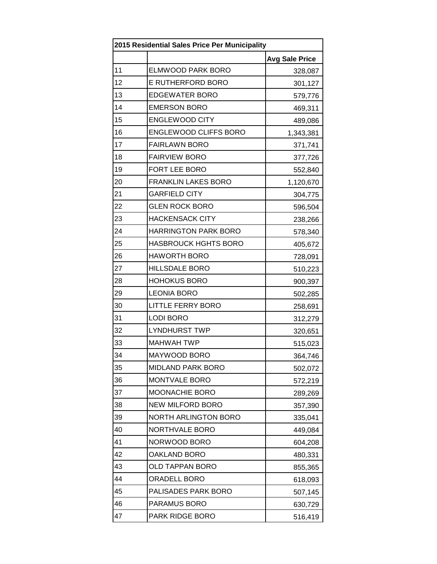| 2015 Residential Sales Price Per Municipality |                             |                       |
|-----------------------------------------------|-----------------------------|-----------------------|
|                                               |                             | <b>Avg Sale Price</b> |
| 11                                            | <b>ELMWOOD PARK BORO</b>    | 328,087               |
| 12                                            | <b>E RUTHERFORD BORO</b>    | 301,127               |
| 13                                            | <b>EDGEWATER BORO</b>       | 579,776               |
| 14                                            | <b>EMERSON BORO</b>         | 469,311               |
| 15                                            | <b>ENGLEWOOD CITY</b>       | 489,086               |
| 16                                            | ENGLEWOOD CLIFFS BORO       | 1,343,381             |
| 17                                            | <b>FAIRLAWN BORO</b>        | 371,741               |
| 18                                            | <b>FAIRVIEW BORO</b>        | 377,726               |
| 19                                            | FORT LEE BORO               | 552,840               |
| 20                                            | <b>FRANKLIN LAKES BORO</b>  | 1,120,670             |
| 21                                            | <b>GARFIELD CITY</b>        | 304,775               |
| 22                                            | <b>GLEN ROCK BORO</b>       | 596,504               |
| 23                                            | <b>HACKENSACK CITY</b>      | 238,266               |
| 24                                            | <b>HARRINGTON PARK BORO</b> | 578,340               |
| 25                                            | <b>HASBROUCK HGHTS BORO</b> | 405,672               |
| 26                                            | <b>HAWORTH BORO</b>         | 728,091               |
| 27                                            | <b>HILLSDALE BORO</b>       | 510,223               |
| 28                                            | <b>HOHOKUS BORO</b>         | 900,397               |
| 29                                            | <b>LEONIA BORO</b>          | 502,285               |
| 30                                            | <b>LITTLE FERRY BORO</b>    | 258,691               |
| 31                                            | <b>LODI BORO</b>            | 312,279               |
| 32                                            | <b>LYNDHURST TWP</b>        | 320,651               |
| 33                                            | <b>MAHWAH TWP</b>           | 515,023               |
| 34                                            | MAYWOOD BORO                | 364,746               |
| 35                                            | <b>MIDLAND PARK BORO</b>    | 502,072               |
| 36                                            | MONTVALE BORO               | 572,219               |
| 37                                            | MOONACHIE BORO              | 289,269               |
| 38                                            | <b>NEW MILFORD BORO</b>     | 357,390               |
| 39                                            | NORTH ARLINGTON BORO        | 335,041               |
| 40                                            | NORTHVALE BORO              | 449,084               |
| 41                                            | NORWOOD BORO                | 604,208               |
| 42                                            | <b>OAKLAND BORO</b>         | 480,331               |
| 43                                            | <b>OLD TAPPAN BORO</b>      | 855,365               |
| 44                                            | <b>ORADELL BORO</b>         | 618,093               |
| 45                                            | PALISADES PARK BORO         | 507,145               |
| 46                                            | PARAMUS BORO                | 630,729               |
| 47                                            | PARK RIDGE BORO             | 516,419               |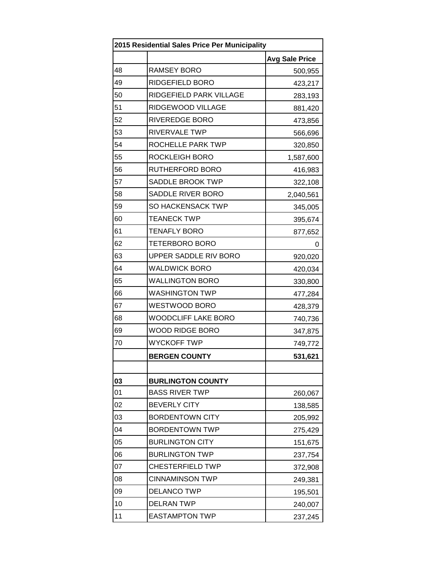| 2015 Residential Sales Price Per Municipality |                            |                       |
|-----------------------------------------------|----------------------------|-----------------------|
|                                               |                            | <b>Avg Sale Price</b> |
| 48                                            | <b>RAMSEY BORO</b>         | 500,955               |
| 49                                            | RIDGEFIELD BORO            | 423,217               |
| 50                                            | RIDGEFIELD PARK VILLAGE    | 283,193               |
| 51                                            | RIDGEWOOD VILLAGE          | 881,420               |
| 52                                            | RIVEREDGE BORO             | 473,856               |
| 53                                            | <b>RIVERVALE TWP</b>       | 566,696               |
| 54                                            | ROCHELLE PARK TWP          | 320,850               |
| 55                                            | <b>ROCKLEIGH BORO</b>      | 1,587,600             |
| 56                                            | RUTHERFORD BORO            | 416,983               |
| 57                                            | <b>SADDLE BROOK TWP</b>    | 322,108               |
| 58                                            | SADDLE RIVER BORO          | 2,040,561             |
| 59                                            | SO HACKENSACK TWP          | 345,005               |
| 60                                            | <b>TEANECK TWP</b>         | 395,674               |
| 61                                            | <b>TENAFLY BORO</b>        | 877,652               |
| 62                                            | <b>TETERBORO BORO</b>      | O                     |
| 63                                            | UPPER SADDLE RIV BORO      | 920,020               |
| 64                                            | <b>WALDWICK BORO</b>       | 420,034               |
| 65                                            | <b>WALLINGTON BORO</b>     | 330,800               |
| 66                                            | <b>WASHINGTON TWP</b>      | 477,284               |
| 67                                            | WESTWOOD BORO              | 428,379               |
| 68                                            | <b>WOODCLIFF LAKE BORO</b> | 740,736               |
| 69                                            | WOOD RIDGE BORO            | 347,875               |
| 70                                            | <b>WYCKOFF TWP</b>         | 749,772               |
|                                               | <b>BERGEN COUNTY</b>       | 531,621               |
|                                               |                            |                       |
| 03                                            | <b>BURLINGTON COUNTY</b>   |                       |
| 01                                            | <b>BASS RIVER TWP</b>      | 260,067               |
| 02                                            | <b>BEVERLY CITY</b>        | 138,585               |
| 03                                            | <b>BORDENTOWN CITY</b>     | 205,992               |
| 04                                            | <b>BORDENTOWN TWP</b>      | 275,429               |
| 05                                            | <b>BURLINGTON CITY</b>     | 151,675               |
| 06                                            | <b>BURLINGTON TWP</b>      | 237,754               |
| 07                                            | <b>CHESTERFIELD TWP</b>    | 372,908               |
| 08                                            | <b>CINNAMINSON TWP</b>     | 249,381               |
| 09                                            | <b>DELANCO TWP</b>         | 195,501               |
| 10                                            | <b>DELRAN TWP</b>          | 240,007               |
| 11                                            | <b>EASTAMPTON TWP</b>      | 237,245               |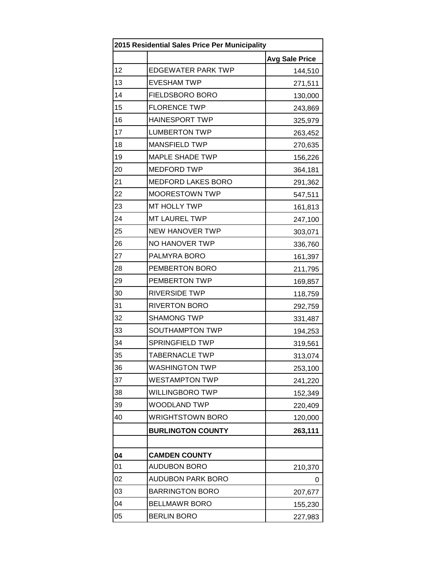| 2015 Residential Sales Price Per Municipality |                           |                       |
|-----------------------------------------------|---------------------------|-----------------------|
|                                               |                           | <b>Avg Sale Price</b> |
| 12                                            | <b>EDGEWATER PARK TWP</b> | 144,510               |
| 13                                            | <b>EVESHAM TWP</b>        | 271,511               |
| 14                                            | <b>FIELDSBORO BORO</b>    | 130,000               |
| 15                                            | <b>FLORENCE TWP</b>       | 243,869               |
| 16                                            | <b>HAINESPORT TWP</b>     | 325,979               |
| 17                                            | <b>LUMBERTON TWP</b>      | 263,452               |
| 18                                            | <b>MANSFIELD TWP</b>      | 270,635               |
| 19                                            | <b>MAPLE SHADE TWP</b>    | 156,226               |
| 20                                            | <b>MEDFORD TWP</b>        | 364,181               |
| 21                                            | <b>MEDFORD LAKES BORO</b> | 291,362               |
| 22                                            | <b>MOORESTOWN TWP</b>     | 547,511               |
| 23                                            | MT HOLLY TWP              | 161,813               |
| 24                                            | MT LAUREL TWP             | 247,100               |
| 25                                            | <b>NEW HANOVER TWP</b>    | 303,071               |
| 26                                            | NO HANOVER TWP            | 336,760               |
| 27                                            | PALMYRA BORO              | 161,397               |
| 28                                            | PEMBERTON BORO            | 211,795               |
| 29                                            | PEMBERTON TWP             | 169,857               |
| 30                                            | <b>RIVERSIDE TWP</b>      | 118,759               |
| 31                                            | <b>RIVERTON BORO</b>      | 292,759               |
| 32                                            | <b>SHAMONG TWP</b>        | 331,487               |
| 33                                            | SOUTHAMPTON TWP           | 194,253               |
| 34                                            | <b>SPRINGFIELD TWP</b>    | 319,561               |
| 35                                            | <b>TABERNACLE TWP</b>     | 313,074               |
| 36                                            | <b>WASHINGTON TWP</b>     | 253,100               |
| 37                                            | <b>WESTAMPTON TWP</b>     | 241,220               |
| 38                                            | <b>WILLINGBORO TWP</b>    | 152,349               |
| 39                                            | <b>WOODLAND TWP</b>       | 220,409               |
| 40                                            | <b>WRIGHTSTOWN BORO</b>   | 120,000               |
|                                               | <b>BURLINGTON COUNTY</b>  | 263,111               |
|                                               |                           |                       |
| 04                                            | <b>CAMDEN COUNTY</b>      |                       |
| 01                                            | <b>AUDUBON BORO</b>       | 210,370               |
| 02                                            | <b>AUDUBON PARK BORO</b>  | 0                     |
| 03                                            | <b>BARRINGTON BORO</b>    | 207,677               |
| 04                                            | <b>BELLMAWR BORO</b>      | 155,230               |
| 05                                            | <b>BERLIN BORO</b>        | 227,983               |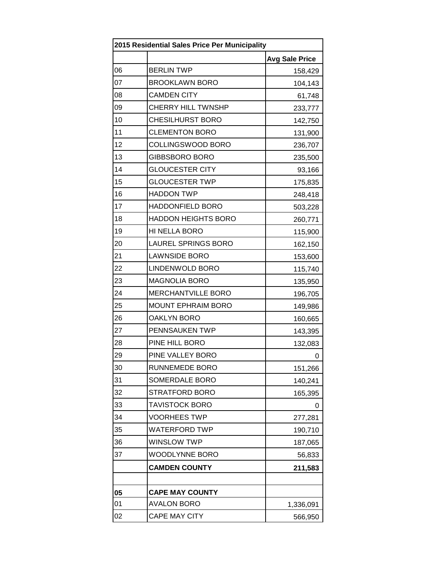| 2015 Residential Sales Price Per Municipality |                            |                       |
|-----------------------------------------------|----------------------------|-----------------------|
|                                               |                            | <b>Avg Sale Price</b> |
| 06                                            | <b>BERLIN TWP</b>          | 158,429               |
| 07                                            | <b>BROOKLAWN BORO</b>      | 104,143               |
| 08                                            | <b>CAMDEN CITY</b>         | 61,748                |
| 09                                            | CHERRY HILL TWNSHP         | 233,777               |
| 10                                            | <b>CHESILHURST BORO</b>    | 142,750               |
| 11                                            | <b>CLEMENTON BORO</b>      | 131,900               |
| 12                                            | COLLINGSWOOD BORO          | 236,707               |
| 13                                            | GIBBSBORO BORO             | 235,500               |
| 14                                            | <b>GLOUCESTER CITY</b>     | 93,166                |
| 15                                            | <b>GLOUCESTER TWP</b>      | 175,835               |
| 16                                            | <b>HADDON TWP</b>          | 248,418               |
| 17                                            | <b>HADDONFIELD BORO</b>    | 503,228               |
| 18                                            | <b>HADDON HEIGHTS BORO</b> | 260,771               |
| 19                                            | HI NELLA BORO              | 115,900               |
| 20                                            | <b>LAUREL SPRINGS BORO</b> | 162,150               |
| 21                                            | <b>LAWNSIDE BORO</b>       | 153,600               |
| 22                                            | LINDENWOLD BORO            | 115,740               |
| 23                                            | <b>MAGNOLIA BORO</b>       | 135,950               |
| 24                                            | MERCHANTVILLE BORO         | 196,705               |
| 25                                            | <b>MOUNT EPHRAIM BORO</b>  | 149,986               |
| 26                                            | <b>OAKLYN BORO</b>         | 160,665               |
| 27                                            | PENNSAUKEN TWP             | 143,395               |
| 28                                            | PINE HILL BORO             | 132,083               |
| 29                                            | PINE VALLEY BORO           | 0                     |
| 30                                            | <b>RUNNEMEDE BORO</b>      | 151,266               |
| 31                                            | SOMERDALE BORO             | 140,241               |
| 32                                            | <b>STRATFORD BORO</b>      | 165,395               |
| 33                                            | <b>TAVISTOCK BORO</b>      | 0                     |
| 34                                            | <b>VOORHEES TWP</b>        | 277,281               |
| 35                                            | <b>WATERFORD TWP</b>       | 190,710               |
| 36                                            | <b>WINSLOW TWP</b>         | 187,065               |
| 37                                            | <b>WOODLYNNE BORO</b>      | 56,833                |
|                                               | <b>CAMDEN COUNTY</b>       | 211,583               |
|                                               |                            |                       |
| 05                                            | <b>CAPE MAY COUNTY</b>     |                       |
| 01                                            | <b>AVALON BORO</b>         | 1,336,091             |
| 02                                            | CAPE MAY CITY              | 566,950               |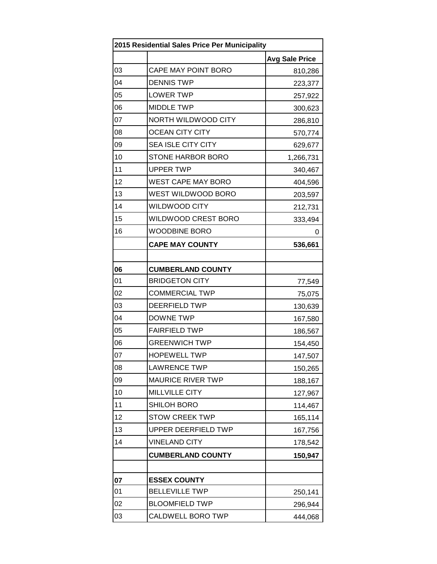| 2015 Residential Sales Price Per Municipality |                           |                       |
|-----------------------------------------------|---------------------------|-----------------------|
|                                               |                           | <b>Avg Sale Price</b> |
| 03                                            | CAPE MAY POINT BORO       | 810,286               |
| 04                                            | <b>DENNIS TWP</b>         | 223,377               |
| 05                                            | <b>LOWER TWP</b>          | 257,922               |
| 06                                            | <b>MIDDLE TWP</b>         | 300,623               |
| 07                                            | NORTH WILDWOOD CITY       | 286,810               |
| 08                                            | <b>OCEAN CITY CITY</b>    | 570,774               |
| 09                                            | <b>SEA ISLE CITY CITY</b> | 629,677               |
| 10                                            | <b>STONE HARBOR BORO</b>  | 1,266,731             |
| 11                                            | <b>UPPER TWP</b>          | 340,467               |
| 12                                            | <b>WEST CAPE MAY BORO</b> | 404,596               |
| 13                                            | WEST WILDWOOD BORO        | 203,597               |
| 14                                            | <b>WILDWOOD CITY</b>      | 212,731               |
| 15                                            | WILDWOOD CREST BORO       | 333,494               |
| 16                                            | <b>WOODBINE BORO</b>      | 0                     |
|                                               | <b>CAPE MAY COUNTY</b>    | 536,661               |
|                                               |                           |                       |
| 06                                            | <b>CUMBERLAND COUNTY</b>  |                       |
| 01                                            | <b>BRIDGETON CITY</b>     | 77,549                |
| 02                                            | <b>COMMERCIAL TWP</b>     | 75,075                |
| 03                                            | <b>DEERFIELD TWP</b>      | 130,639               |
| 04                                            | <b>DOWNE TWP</b>          | 167,580               |
| 05                                            | <b>FAIRFIELD TWP</b>      | 186,567               |
| 06                                            | <b>GREENWICH TWP</b>      | 154,450               |
| 07                                            | <b>HOPEWELL TWP</b>       | 147,507               |
| 08                                            | <b>LAWRENCE TWP</b>       | 150,265               |
| 09                                            | <b>MAURICE RIVER TWP</b>  | 188,167               |
| 10                                            | <b>MILLVILLE CITY</b>     | 127,967               |
| 11                                            | SHILOH BORO               | 114,467               |
| 12                                            | <b>STOW CREEK TWP</b>     | 165,114               |
| 13                                            | UPPER DEERFIELD TWP       | 167,756               |
| 14                                            | <b>VINELAND CITY</b>      | 178,542               |
|                                               | <b>CUMBERLAND COUNTY</b>  | 150,947               |
|                                               |                           |                       |
| 07                                            | <b>ESSEX COUNTY</b>       |                       |
| 01                                            | <b>BELLEVILLE TWP</b>     | 250,141               |
| 02                                            | <b>BLOOMFIELD TWP</b>     | 296,944               |
| 03                                            | CALDWELL BORO TWP         | 444,068               |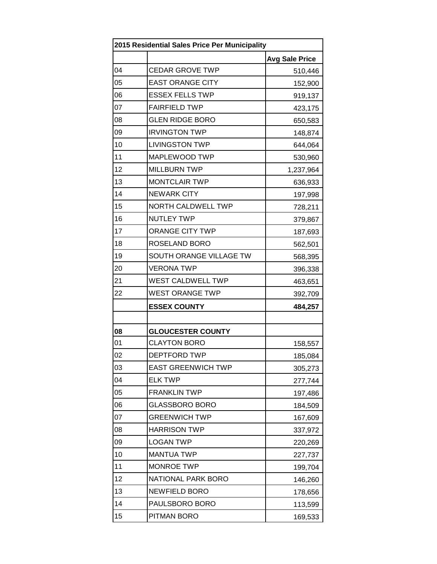| 2015 Residential Sales Price Per Municipality |                           |                       |
|-----------------------------------------------|---------------------------|-----------------------|
|                                               |                           | <b>Avg Sale Price</b> |
| 04                                            | <b>CEDAR GROVE TWP</b>    | 510,446               |
| 05                                            | <b>EAST ORANGE CITY</b>   | 152,900               |
| 06                                            | <b>ESSEX FELLS TWP</b>    | 919,137               |
| 07                                            | <b>FAIRFIELD TWP</b>      | 423,175               |
| 08                                            | <b>GLEN RIDGE BORO</b>    | 650,583               |
| 09                                            | <b>IRVINGTON TWP</b>      | 148,874               |
| 10                                            | <b>LIVINGSTON TWP</b>     | 644,064               |
| 11                                            | MAPLEWOOD TWP             | 530,960               |
| 12                                            | <b>MILLBURN TWP</b>       | 1,237,964             |
| 13                                            | <b>MONTCLAIR TWP</b>      | 636,933               |
| 14                                            | <b>NEWARK CITY</b>        | 197,998               |
| 15                                            | <b>NORTH CALDWELL TWP</b> | 728,211               |
| 16                                            | <b>NUTLEY TWP</b>         | 379,867               |
| 17                                            | <b>ORANGE CITY TWP</b>    | 187,693               |
| 18                                            | ROSELAND BORO             | 562,501               |
| 19                                            | SOUTH ORANGE VILLAGE TW   | 568,395               |
| 20                                            | <b>VERONA TWP</b>         | 396,338               |
| 21                                            | WEST CALDWELL TWP         | 463,651               |
| 22                                            | <b>WEST ORANGE TWP</b>    | 392,709               |
|                                               | <b>ESSEX COUNTY</b>       | 484,257               |
|                                               |                           |                       |
| 08                                            | <b>GLOUCESTER COUNTY</b>  |                       |
| 01                                            | <b>CLAYTON BORO</b>       | 158,557               |
| 02                                            | DEPTFORD TWP              | 185,084               |
| 03                                            | <b>EAST GREENWICH TWP</b> | 305,273               |
| 04                                            | <b>ELK TWP</b>            | 277,744               |
| 05                                            | <b>FRANKLIN TWP</b>       | 197,486               |
| 06                                            | <b>GLASSBORO BORO</b>     | 184,509               |
| 07                                            | <b>GREENWICH TWP</b>      | 167,609               |
| 08                                            | <b>HARRISON TWP</b>       | 337,972               |
| 09                                            | <b>LOGAN TWP</b>          | 220,269               |
| 10                                            | <b>MANTUA TWP</b>         | 227,737               |
| 11                                            | <b>MONROE TWP</b>         | 199,704               |
| 12                                            | NATIONAL PARK BORO        | 146,260               |
| 13                                            | <b>NEWFIELD BORO</b>      | 178,656               |
| 14                                            | PAULSBORO BORO            | 113,599               |
| 15                                            | PITMAN BORO               | 169,533               |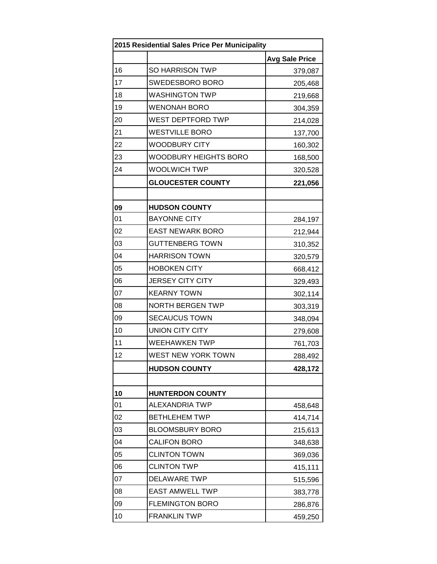| 2015 Residential Sales Price Per Municipality |                              |                       |
|-----------------------------------------------|------------------------------|-----------------------|
|                                               |                              | <b>Avg Sale Price</b> |
| 16                                            | <b>SO HARRISON TWP</b>       | 379,087               |
| 17                                            | SWEDESBORO BORO              | 205,468               |
| 18                                            | <b>WASHINGTON TWP</b>        | 219,668               |
| 19                                            | <b>WENONAH BORO</b>          | 304,359               |
| 20                                            | WEST DEPTFORD TWP            | 214,028               |
| 21                                            | <b>WESTVILLE BORO</b>        | 137,700               |
| 22                                            | <b>WOODBURY CITY</b>         | 160,302               |
| 23                                            | <b>WOODBURY HEIGHTS BORO</b> | 168,500               |
| 24                                            | <b>WOOLWICH TWP</b>          | 320,528               |
|                                               | <b>GLOUCESTER COUNTY</b>     | 221,056               |
|                                               |                              |                       |
| 09                                            | <b>HUDSON COUNTY</b>         |                       |
| 01                                            | <b>BAYONNE CITY</b>          | 284,197               |
| 02                                            | <b>EAST NEWARK BORO</b>      | 212,944               |
| 03                                            | <b>GUTTENBERG TOWN</b>       | 310,352               |
| 04                                            | <b>HARRISON TOWN</b>         | 320,579               |
| 05                                            | <b>HOBOKEN CITY</b>          | 668,412               |
| 06                                            | <b>JERSEY CITY CITY</b>      | 329,493               |
| 07                                            | <b>KEARNY TOWN</b>           | 302,114               |
| 08                                            | <b>NORTH BERGEN TWP</b>      | 303,319               |
| 09                                            | <b>SECAUCUS TOWN</b>         | 348,094               |
| 10                                            | <b>UNION CITY CITY</b>       | 279,608               |
| 11                                            | <b>WEEHAWKEN TWP</b>         | 761,703               |
| 12                                            | WEST NEW YORK TOWN           | 288,492               |
|                                               | <b>HUDSON COUNTY</b>         | 428,172               |
|                                               |                              |                       |
| 10                                            | <b>HUNTERDON COUNTY</b>      |                       |
| 01                                            | ALEXANDRIA TWP               | 458,648               |
| 02                                            | <b>BETHLEHEM TWP</b>         | 414,714               |
| 03                                            | <b>BLOOMSBURY BORO</b>       | 215,613               |
| 04                                            | <b>CALIFON BORO</b>          | 348,638               |
| 05                                            | <b>CLINTON TOWN</b>          | 369,036               |
| 06                                            | <b>CLINTON TWP</b>           | 415,111               |
| 07                                            | <b>DELAWARE TWP</b>          | 515,596               |
| 08                                            | <b>EAST AMWELL TWP</b>       | 383,778               |
| 09                                            | <b>FLEMINGTON BORO</b>       | 286,876               |
| 10                                            | <b>FRANKLIN TWP</b>          | 459,250               |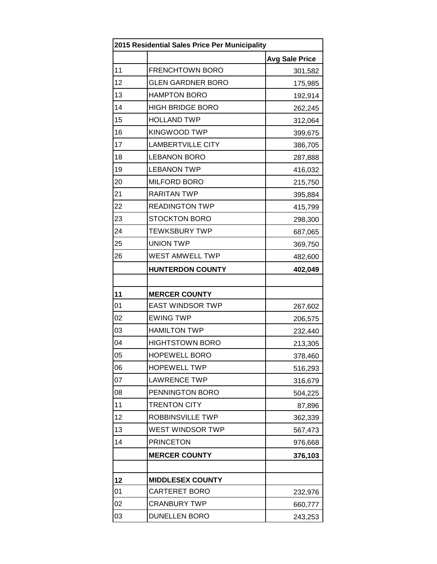| 2015 Residential Sales Price Per Municipality |                          |                       |
|-----------------------------------------------|--------------------------|-----------------------|
|                                               |                          | <b>Avg Sale Price</b> |
| 11                                            | <b>FRENCHTOWN BORO</b>   | 301,582               |
| 12                                            | <b>GLEN GARDNER BORO</b> | 175,985               |
| 13                                            | <b>HAMPTON BORO</b>      | 192,914               |
| 14                                            | <b>HIGH BRIDGE BORO</b>  | 262,245               |
| 15                                            | <b>HOLLAND TWP</b>       | 312,064               |
| 16                                            | KINGWOOD TWP             | 399,675               |
| 17                                            | <b>LAMBERTVILLE CITY</b> | 386,705               |
| 18                                            | <b>LEBANON BORO</b>      | 287,888               |
| 19                                            | <b>LEBANON TWP</b>       | 416,032               |
| 20                                            | MILFORD BORO             | 215,750               |
| 21                                            | <b>RARITAN TWP</b>       | 395,884               |
| 22                                            | <b>READINGTON TWP</b>    | 415,799               |
| 23                                            | <b>STOCKTON BORO</b>     | 298,300               |
| 24                                            | <b>TEWKSBURY TWP</b>     | 687,065               |
| 25                                            | <b>UNION TWP</b>         | 369,750               |
| 26                                            | WEST AMWELL TWP          | 482,600               |
|                                               | <b>HUNTERDON COUNTY</b>  | 402,049               |
|                                               |                          |                       |
| 11                                            | <b>MERCER COUNTY</b>     |                       |
| 01                                            | <b>EAST WINDSOR TWP</b>  | 267,602               |
| 02                                            | <b>EWING TWP</b>         | 206,575               |
| 03                                            | <b>HAMILTON TWP</b>      | 232,440               |
| 04                                            | <b>HIGHTSTOWN BORO</b>   | 213,305               |
| 05                                            | <b>HOPEWELL BORO</b>     | 378,460               |
| 06                                            | <b>HOPEWELL TWP</b>      | 516,293               |
| 07                                            | <b>LAWRENCE TWP</b>      | 316,679               |
| 08                                            | PENNINGTON BORO          | 504,225               |
| 11                                            | <b>TRENTON CITY</b>      | 87,896                |
| 12                                            | ROBBINSVILLE TWP         | 362,339               |
| 13                                            | WEST WINDSOR TWP         | 567,473               |
| 14                                            | <b>PRINCETON</b>         | 976,668               |
|                                               | <b>MERCER COUNTY</b>     | 376,103               |
|                                               |                          |                       |
| 12                                            | <b>MIDDLESEX COUNTY</b>  |                       |
| 01                                            | <b>CARTERET BORO</b>     | 232,976               |
| 02                                            | <b>CRANBURY TWP</b>      | 660,777               |
| 03                                            | <b>DUNELLEN BORO</b>     | 243,253               |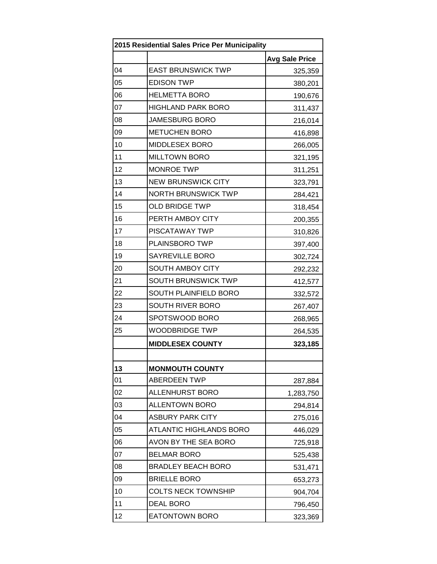| 2015 Residential Sales Price Per Municipality |                                |                       |
|-----------------------------------------------|--------------------------------|-----------------------|
|                                               |                                | <b>Avg Sale Price</b> |
| 04                                            | <b>EAST BRUNSWICK TWP</b>      | 325,359               |
| 05                                            | <b>EDISON TWP</b>              | 380,201               |
| 06                                            | <b>HELMETTA BORO</b>           | 190,676               |
| 07                                            | <b>HIGHLAND PARK BORO</b>      | 311,437               |
| 08                                            | <b>JAMESBURG BORO</b>          | 216,014               |
| 09                                            | <b>METUCHEN BORO</b>           | 416,898               |
| 10                                            | <b>MIDDLESEX BORO</b>          | 266,005               |
| 11                                            | <b>MILLTOWN BORO</b>           | 321,195               |
| 12                                            | <b>MONROE TWP</b>              | 311,251               |
| 13                                            | <b>NEW BRUNSWICK CITY</b>      | 323,791               |
| 14                                            | <b>NORTH BRUNSWICK TWP</b>     | 284,421               |
| 15                                            | <b>OLD BRIDGE TWP</b>          | 318,454               |
| 16                                            | PERTH AMBOY CITY               | 200,355               |
| 17                                            | <b>PISCATAWAY TWP</b>          | 310,826               |
| 18                                            | PLAINSBORO TWP                 | 397,400               |
| 19                                            | <b>SAYREVILLE BORO</b>         | 302,724               |
| 20                                            | SOUTH AMBOY CITY               | 292,232               |
| 21                                            | <b>SOUTH BRUNSWICK TWP</b>     | 412,577               |
| 22                                            | SOUTH PLAINFIELD BORO          | 332,572               |
| 23                                            | SOUTH RIVER BORO               | 267,407               |
| 24                                            | SPOTSWOOD BORO                 | 268,965               |
| 25                                            | <b>WOODBRIDGE TWP</b>          | 264,535               |
|                                               | <b>MIDDLESEX COUNTY</b>        | 323,185               |
|                                               |                                |                       |
| 13                                            | <b>MONMOUTH COUNTY</b>         |                       |
| 01                                            | <b>ABERDEEN TWP</b>            | 287,884               |
| 02                                            | <b>ALLENHURST BORO</b>         | 1,283,750             |
| 03                                            | <b>ALLENTOWN BORO</b>          | 294,814               |
| 04                                            | <b>ASBURY PARK CITY</b>        | 275,016               |
| 05                                            | <b>ATLANTIC HIGHLANDS BORO</b> | 446,029               |
| 06                                            | AVON BY THE SEA BORO           | 725,918               |
| 07                                            | <b>BELMAR BORO</b>             | 525,438               |
| 08                                            | <b>BRADLEY BEACH BORO</b>      | 531,471               |
| 09                                            | <b>BRIELLE BORO</b>            | 653,273               |
| 10                                            | <b>COLTS NECK TOWNSHIP</b>     | 904,704               |
| 11                                            | <b>DEAL BORO</b>               | 796,450               |
| 12                                            | <b>EATONTOWN BORO</b>          | 323,369               |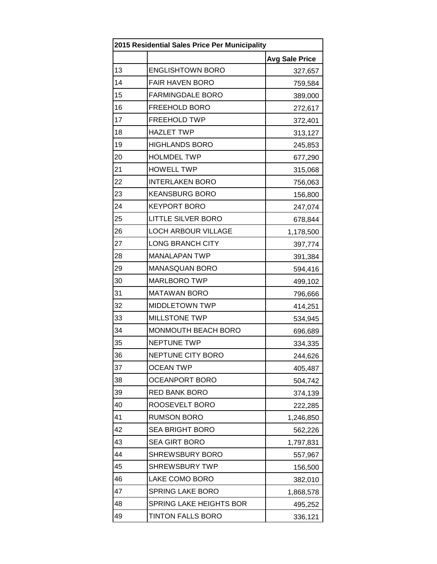| 2015 Residential Sales Price Per Municipality |                            |                       |
|-----------------------------------------------|----------------------------|-----------------------|
|                                               |                            | <b>Avg Sale Price</b> |
| 13                                            | <b>ENGLISHTOWN BORO</b>    | 327,657               |
| 14                                            | <b>FAIR HAVEN BORO</b>     | 759,584               |
| 15                                            | <b>FARMINGDALE BORO</b>    | 389,000               |
| 16                                            | FREEHOLD BORO              | 272,617               |
| 17                                            | <b>FREEHOLD TWP</b>        | 372,401               |
| 18                                            | <b>HAZLET TWP</b>          | 313,127               |
| 19                                            | <b>HIGHLANDS BORO</b>      | 245,853               |
| 20                                            | <b>HOLMDEL TWP</b>         | 677,290               |
| 21                                            | <b>HOWELL TWP</b>          | 315,068               |
| 22                                            | <b>INTERLAKEN BORO</b>     | 756,063               |
| 23                                            | <b>KEANSBURG BORO</b>      | 156,800               |
| 24                                            | <b>KEYPORT BORO</b>        | 247,074               |
| 25                                            | <b>LITTLE SILVER BORO</b>  | 678,844               |
| 26                                            | <b>LOCH ARBOUR VILLAGE</b> | 1,178,500             |
| 27                                            | <b>LONG BRANCH CITY</b>    | 397,774               |
| 28                                            | <b>MANALAPAN TWP</b>       | 391,384               |
| 29                                            | <b>MANASQUAN BORO</b>      | 594,416               |
| 30                                            | MARLBORO TWP               | 499,102               |
| 31                                            | <b>MATAWAN BORO</b>        | 796,666               |
| 32                                            | <b>MIDDLETOWN TWP</b>      | 414,251               |
| 33                                            | <b>MILLSTONE TWP</b>       | 534,945               |
| 34                                            | MONMOUTH BEACH BORO        | 696,689               |
| 35                                            | <b>NEPTUNE TWP</b>         | 334,335               |
| 36                                            | NEPTUNE CITY BORO          | 244,626               |
| 37                                            | <b>OCEAN TWP</b>           | 405,487               |
| 38                                            | OCEANPORT BORO             | 504,742               |
| 39                                            | <b>RED BANK BORO</b>       | 374,139               |
| 40                                            | ROOSEVELT BORO             | 222,285               |
| 41                                            | <b>RUMSON BORO</b>         | 1,246,850             |
| 42                                            | <b>SEA BRIGHT BORO</b>     | 562,226               |
| 43                                            | SEA GIRT BORO              | 1,797,831             |
| 44                                            | <b>SHREWSBURY BORO</b>     | 557,967               |
| 45                                            | <b>SHREWSBURY TWP</b>      | 156,500               |
| 46                                            | LAKE COMO BORO             | 382,010               |
| 47                                            | <b>SPRING LAKE BORO</b>    | 1,868,578             |
| 48                                            | SPRING LAKE HEIGHTS BOR    | 495,252               |
| 49                                            | TINTON FALLS BORO          | 336,121               |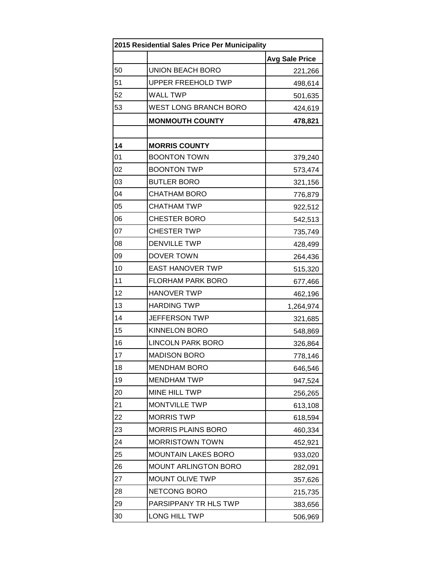| 2015 Residential Sales Price Per Municipality |                              |                       |
|-----------------------------------------------|------------------------------|-----------------------|
|                                               |                              | <b>Avg Sale Price</b> |
| 50                                            | <b>UNION BEACH BORO</b>      | 221,266               |
| 51                                            | <b>UPPER FREEHOLD TWP</b>    | 498,614               |
| 52                                            | <b>WALL TWP</b>              | 501,635               |
| 53                                            | <b>WEST LONG BRANCH BORO</b> | 424,619               |
|                                               | <b>MONMOUTH COUNTY</b>       | 478,821               |
|                                               |                              |                       |
| 14                                            | <b>MORRIS COUNTY</b>         |                       |
| 01                                            | <b>BOONTON TOWN</b>          | 379,240               |
| 02                                            | <b>BOONTON TWP</b>           | 573,474               |
| 03                                            | <b>BUTLER BORO</b>           | 321,156               |
| 04                                            | <b>CHATHAM BORO</b>          | 776,879               |
| 05                                            | <b>CHATHAM TWP</b>           | 922,512               |
| 06                                            | <b>CHESTER BORO</b>          | 542,513               |
| 07                                            | <b>CHESTER TWP</b>           | 735,749               |
| 08                                            | <b>DENVILLE TWP</b>          | 428,499               |
| 09                                            | DOVER TOWN                   | 264,436               |
| 10                                            | <b>EAST HANOVER TWP</b>      | 515,320               |
| 11                                            | <b>FLORHAM PARK BORO</b>     | 677,466               |
| 12                                            | <b>HANOVER TWP</b>           | 462,196               |
| 13                                            | <b>HARDING TWP</b>           | 1,264,974             |
| 14                                            | <b>JEFFERSON TWP</b>         | 321,685               |
| 15                                            | <b>KINNELON BORO</b>         | 548,869               |
| 16                                            | <b>LINCOLN PARK BORO</b>     | 326,864               |
| 17                                            | <b>MADISON BORO</b>          | 778,146               |
| 18                                            | <b>MENDHAM BORO</b>          | 646,546               |
| 19                                            | <b>MENDHAM TWP</b>           | 947,524               |
| 20                                            | MINE HILL TWP                | 256,265               |
| 21                                            | MONTVILLE TWP                | 613,108               |
| 22                                            | <b>MORRIS TWP</b>            | 618,594               |
| 23                                            | <b>MORRIS PLAINS BORO</b>    | 460,334               |
| 24                                            | <b>MORRISTOWN TOWN</b>       | 452,921               |
| 25                                            | <b>MOUNTAIN LAKES BORO</b>   | 933,020               |
| 26                                            | <b>MOUNT ARLINGTON BORO</b>  | 282,091               |
| 27                                            | MOUNT OLIVE TWP              | 357,626               |
| 28                                            | NETCONG BORO                 | 215,735               |
| 29                                            | PARSIPPANY TR HLS TWP        | 383,656               |
| 30                                            | LONG HILL TWP                | 506,969               |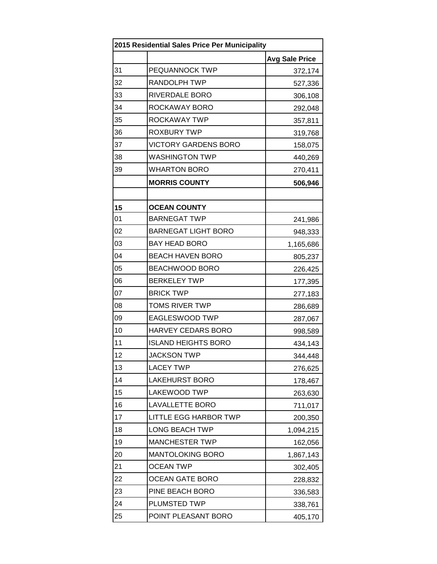| 2015 Residential Sales Price Per Municipality |                              |                       |
|-----------------------------------------------|------------------------------|-----------------------|
|                                               |                              | <b>Avg Sale Price</b> |
| 31                                            | PEQUANNOCK TWP               | 372,174               |
| 32                                            | <b>RANDOLPH TWP</b>          | 527,336               |
| 33                                            | RIVERDALE BORO               | 306,108               |
| 34                                            | ROCKAWAY BORO                | 292,048               |
| 35                                            | ROCKAWAY TWP                 | 357,811               |
| 36                                            | <b>ROXBURY TWP</b>           | 319,768               |
| 37                                            | <b>VICTORY GARDENS BORO</b>  | 158,075               |
| 38                                            | <b>WASHINGTON TWP</b>        | 440,269               |
| 39                                            | <b>WHARTON BORO</b>          | 270,411               |
|                                               | <b>MORRIS COUNTY</b>         | 506,946               |
|                                               |                              |                       |
| 15                                            | <b>OCEAN COUNTY</b>          |                       |
| 01                                            | <b>BARNEGAT TWP</b>          | 241,986               |
| 02                                            | <b>BARNEGAT LIGHT BORO</b>   | 948,333               |
| 03                                            | <b>BAY HEAD BORO</b>         | 1,165,686             |
| 04                                            | <b>BEACH HAVEN BORO</b>      | 805,237               |
| 05                                            | BEACHWOOD BORO               | 226,425               |
| 06                                            | <b>BERKELEY TWP</b>          | 177,395               |
| 07                                            | <b>BRICK TWP</b>             | 277,183               |
| 08                                            | <b>TOMS RIVER TWP</b>        | 286,689               |
| 09                                            | EAGLESWOOD TWP               | 287,067               |
| 10                                            | HARVEY CEDARS BORO           | 998,589               |
| 11                                            | <b>ISLAND HEIGHTS BORO</b>   | 434,143               |
| 12                                            | <b>JACKSON TWP</b>           | 344,448               |
| 13                                            | <b>LACEY TWP</b>             | 276,625               |
| 14                                            | <b>LAKEHURST BORO</b>        | 178,467               |
| 15                                            | LAKEWOOD TWP                 | 263,630               |
| 16                                            | <b>LAVALLETTE BORO</b>       | 711,017               |
| 17                                            | <b>LITTLE EGG HARBOR TWP</b> | 200,350               |
| 18                                            | <b>LONG BEACH TWP</b>        | 1,094,215             |
| 19                                            | <b>MANCHESTER TWP</b>        | 162,056               |
| 20                                            | <b>MANTOLOKING BORO</b>      | 1,867,143             |
| 21                                            | <b>OCEAN TWP</b>             | 302,405               |
| 22                                            | <b>OCEAN GATE BORO</b>       | 228,832               |
| 23                                            | PINE BEACH BORO              | 336,583               |
| 24                                            | PLUMSTED TWP                 | 338,761               |
| 25                                            | POINT PLEASANT BORO          | 405,170               |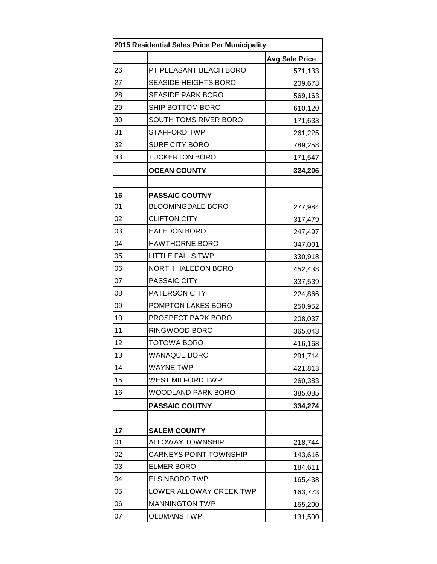| 2015 Residential Sales Price Per Municipality |                               |                       |
|-----------------------------------------------|-------------------------------|-----------------------|
|                                               |                               | <b>Avg Sale Price</b> |
| 26                                            | PT PLEASANT BEACH BORO        | 571,133               |
| 27                                            | <b>SEASIDE HEIGHTS BORO</b>   | 209,678               |
| 28                                            | <b>SEASIDE PARK BORO</b>      | 569,163               |
| 29                                            | SHIP BOTTOM BORO              | 610,120               |
| 30                                            | SOUTH TOMS RIVER BORO         | 171,633               |
| 31                                            | <b>STAFFORD TWP</b>           | 261,225               |
| 32                                            | <b>SURF CITY BORO</b>         | 789,258               |
| 33                                            | <b>TUCKERTON BORO</b>         | 171,547               |
|                                               | <b>OCEAN COUNTY</b>           | 324,206               |
|                                               |                               |                       |
| 16                                            | <b>PASSAIC COUTNY</b>         |                       |
| 01                                            | <b>BLOOMINGDALE BORO</b>      | 277,984               |
| 02                                            | <b>CLIFTON CITY</b>           | 317,479               |
| 03                                            | <b>HALEDON BORO</b>           | 247,497               |
| 04                                            | <b>HAWTHORNE BORO</b>         | 347,001               |
| 05                                            | <b>LITTLE FALLS TWP</b>       | 330,918               |
| 06                                            | <b>NORTH HALEDON BORO</b>     | 452,438               |
| 07                                            | PASSAIC CITY                  | 337,539               |
| 08                                            | <b>PATERSON CITY</b>          | 224,866               |
| 09                                            | POMPTON LAKES BORO            | 250,952               |
| 10                                            | PROSPECT PARK BORO            | 208,037               |
| 11                                            | RINGWOOD BORO                 | 365,043               |
| 12                                            | <b>TOTOWA BORO</b>            | 416,168               |
| 13                                            | <b>WANAQUE BORO</b>           | 291,714               |
| 14                                            | <b>WAYNE TWP</b>              | 421,813               |
| 15                                            | WEST MILFORD TWP              | 260,383               |
| 16                                            | WOODLAND PARK BORO            | 385,085               |
|                                               | <b>PASSAIC COUTNY</b>         | 334,274               |
|                                               |                               |                       |
| 17                                            | <b>SALEM COUNTY</b>           |                       |
| 01                                            | <b>ALLOWAY TOWNSHIP</b>       | 218,744               |
| 02                                            | <b>CARNEYS POINT TOWNSHIP</b> | 143,616               |
| 03                                            | <b>ELMER BORO</b>             | 184,611               |
| 04                                            | <b>ELSINBORO TWP</b>          | 165,438               |
| 05                                            | LOWER ALLOWAY CREEK TWP       | 163,773               |
| 06                                            | <b>MANNINGTON TWP</b>         | 155,200               |
| 07                                            | <b>OLDMANS TWP</b>            | 131,500               |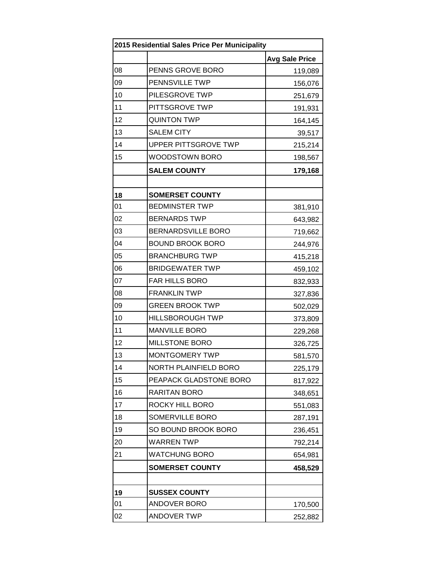| 2015 Residential Sales Price Per Municipality |                              |                       |
|-----------------------------------------------|------------------------------|-----------------------|
|                                               |                              | <b>Avg Sale Price</b> |
| 08                                            | PENNS GROVE BORO             | 119,089               |
| 09                                            | PENNSVILLE TWP               | 156,076               |
| 10                                            | PILESGROVE TWP               | 251,679               |
| 11                                            | PITTSGROVE TWP               | 191,931               |
| 12                                            | <b>QUINTON TWP</b>           | 164,145               |
| 13                                            | <b>SALEM CITY</b>            | 39,517                |
| 14                                            | UPPER PITTSGROVE TWP         | 215,214               |
| 15                                            | WOODSTOWN BORO               | 198,567               |
|                                               | <b>SALEM COUNTY</b>          | 179,168               |
|                                               |                              |                       |
| 18                                            | <b>SOMERSET COUNTY</b>       |                       |
| 01                                            | <b>BEDMINSTER TWP</b>        | 381,910               |
| 02                                            | <b>BERNARDS TWP</b>          | 643,982               |
| 03                                            | <b>BERNARDSVILLE BORO</b>    | 719,662               |
| 04                                            | <b>BOUND BROOK BORO</b>      | 244,976               |
| 05                                            | <b>BRANCHBURG TWP</b>        | 415,218               |
| 06                                            | <b>BRIDGEWATER TWP</b>       | 459,102               |
| 07                                            | FAR HILLS BORO               | 832,933               |
| 08                                            | <b>FRANKLIN TWP</b>          | 327,836               |
| 09                                            | <b>GREEN BROOK TWP</b>       | 502,029               |
| 10                                            | <b>HILLSBOROUGH TWP</b>      | 373,809               |
| 11                                            | <b>MANVILLE BORO</b>         | 229,268               |
| 12                                            | <b>MILLSTONE BORO</b>        | 326,725               |
| 13                                            | MONTGOMERY TWP               | 581,570               |
| 14                                            | <b>NORTH PLAINFIELD BORO</b> | 225,179               |
| 15                                            | PEAPACK GLADSTONE BORO       | 817,922               |
| 16                                            | RARITAN BORO                 | 348,651               |
| 17                                            | ROCKY HILL BORO              | 551,083               |
| 18                                            | SOMERVILLE BORO              | 287,191               |
| 19                                            | SO BOUND BROOK BORO          | 236,451               |
| 20                                            | <b>WARREN TWP</b>            | 792,214               |
| 21                                            | <b>WATCHUNG BORO</b>         | 654,981               |
|                                               | <b>SOMERSET COUNTY</b>       | 458,529               |
|                                               |                              |                       |
| 19                                            | <b>SUSSEX COUNTY</b>         |                       |
| 01                                            | <b>ANDOVER BORO</b>          | 170,500               |
| 02                                            | <b>ANDOVER TWP</b>           | 252,882               |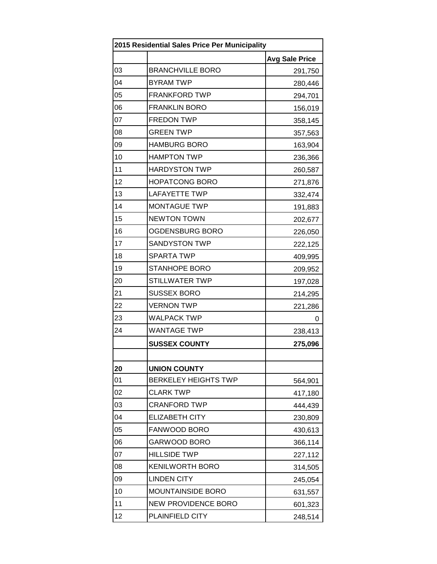| 2015 Residential Sales Price Per Municipality |                             |                       |
|-----------------------------------------------|-----------------------------|-----------------------|
|                                               |                             | <b>Avg Sale Price</b> |
| 03                                            | <b>BRANCHVILLE BORO</b>     | 291,750               |
| 04                                            | <b>BYRAM TWP</b>            | 280,446               |
| 05                                            | <b>FRANKFORD TWP</b>        | 294,701               |
| 06                                            | <b>FRANKLIN BORO</b>        | 156,019               |
| 07                                            | <b>FREDON TWP</b>           | 358,145               |
| 08                                            | <b>GREEN TWP</b>            | 357,563               |
| 09                                            | <b>HAMBURG BORO</b>         | 163,904               |
| 10                                            | <b>HAMPTON TWP</b>          | 236,366               |
| 11                                            | <b>HARDYSTON TWP</b>        | 260,587               |
| 12                                            | <b>HOPATCONG BORO</b>       | 271,876               |
| 13                                            | <b>LAFAYETTE TWP</b>        | 332,474               |
| 14                                            | <b>MONTAGUE TWP</b>         | 191,883               |
| 15                                            | <b>NEWTON TOWN</b>          | 202,677               |
| 16                                            | OGDENSBURG BORO             | 226,050               |
| 17                                            | <b>SANDYSTON TWP</b>        | 222,125               |
| 18                                            | <b>SPARTA TWP</b>           | 409,995               |
| 19                                            | <b>STANHOPE BORO</b>        | 209,952               |
| 20                                            | STILLWATER TWP              | 197,028               |
| 21                                            | <b>SUSSEX BORO</b>          | 214,295               |
| 22                                            | <b>VERNON TWP</b>           | 221,286               |
| 23                                            | <b>WALPACK TWP</b>          | 0                     |
| 24                                            | <b>WANTAGE TWP</b>          | 238,413               |
|                                               | <b>SUSSEX COUNTY</b>        | 275,096               |
|                                               |                             |                       |
| 20                                            | <b>UNION COUNTY</b>         |                       |
| 01                                            | <b>BERKELEY HEIGHTS TWP</b> | 564,901               |
| 02                                            | <b>CLARK TWP</b>            | 417,180               |
| 03                                            | <b>CRANFORD TWP</b>         | 444,439               |
| 04                                            | <b>ELIZABETH CITY</b>       | 230,809               |
| 05                                            | FANWOOD BORO                | 430,613               |
| 06                                            | GARWOOD BORO                | 366,114               |
| 07                                            | <b>HILLSIDE TWP</b>         | 227,112               |
| 08                                            | <b>KENILWORTH BORO</b>      | 314,505               |
| 09                                            | <b>LINDEN CITY</b>          | 245,054               |
| 10                                            | <b>MOUNTAINSIDE BORO</b>    | 631,557               |
| 11                                            | <b>NEW PROVIDENCE BORO</b>  | 601,323               |
| 12                                            | PLAINFIELD CITY             | 248,514               |